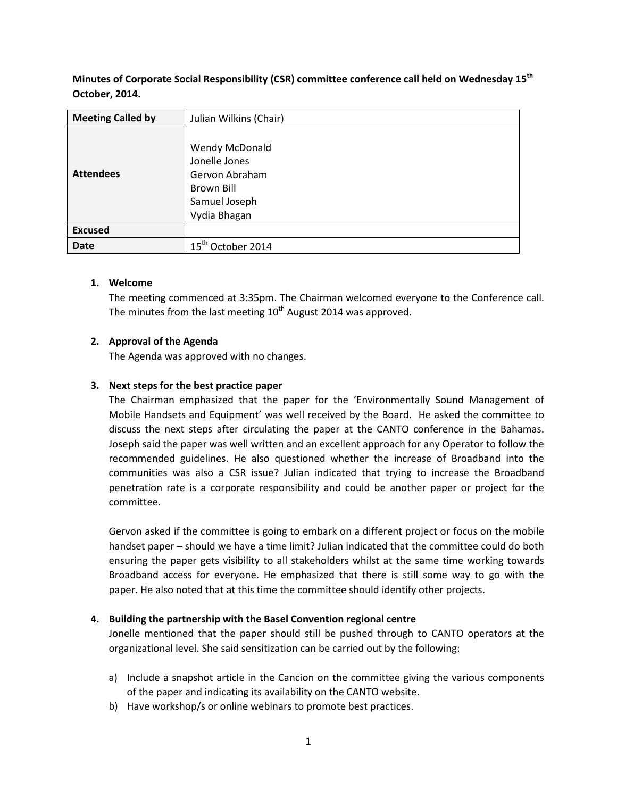**Minutes of Corporate Social Responsibility (CSR) committee conference call held on Wednesday 15th October, 2014.**

| <b>Meeting Called by</b> | Julian Wilkins (Chair)           |
|--------------------------|----------------------------------|
| <b>Attendees</b>         |                                  |
|                          | Wendy McDonald                   |
|                          | Jonelle Jones                    |
|                          | Gervon Abraham                   |
|                          | Brown Bill                       |
|                          | Samuel Joseph                    |
|                          | Vydia Bhagan                     |
| <b>Excused</b>           |                                  |
| <b>Date</b>              | $15^{\text{th}}$<br>October 2014 |

# **1. Welcome**

The meeting commenced at 3:35pm. The Chairman welcomed everyone to the Conference call. The minutes from the last meeting  $10<sup>th</sup>$  August 2014 was approved.

# **2. Approval of the Agenda**

The Agenda was approved with no changes.

# **3. Next steps for the best practice paper**

The Chairman emphasized that the paper for the 'Environmentally Sound Management of Mobile Handsets and Equipment' was well received by the Board. He asked the committee to discuss the next steps after circulating the paper at the CANTO conference in the Bahamas. Joseph said the paper was well written and an excellent approach for any Operator to follow the recommended guidelines. He also questioned whether the increase of Broadband into the communities was also a CSR issue? Julian indicated that trying to increase the Broadband penetration rate is a corporate responsibility and could be another paper or project for the committee.

Gervon asked if the committee is going to embark on a different project or focus on the mobile handset paper – should we have a time limit? Julian indicated that the committee could do both ensuring the paper gets visibility to all stakeholders whilst at the same time working towards Broadband access for everyone. He emphasized that there is still some way to go with the paper. He also noted that at this time the committee should identify other projects.

### **4. Building the partnership with the Basel Convention regional centre**

Jonelle mentioned that the paper should still be pushed through to CANTO operators at the organizational level. She said sensitization can be carried out by the following:

- a) Include a snapshot article in the Cancion on the committee giving the various components of the paper and indicating its availability on the CANTO website.
- b) Have workshop/s or online webinars to promote best practices.